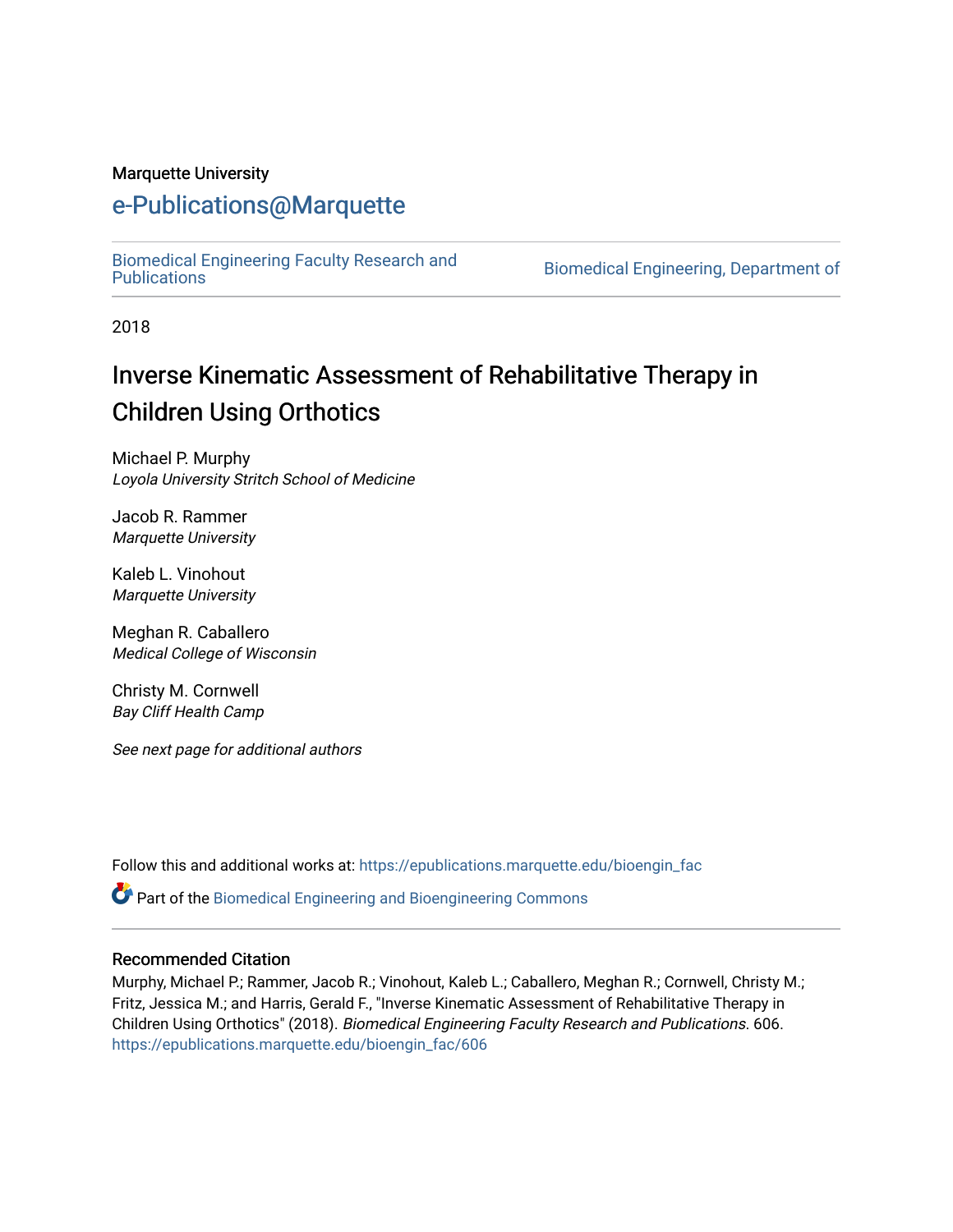#### Marquette University

# [e-Publications@Marquette](https://epublications.marquette.edu/)

[Biomedical Engineering Faculty Research and](https://epublications.marquette.edu/bioengin_fac) 

Biomedical Engineering, Department of

2018

# Inverse Kinematic Assessment of Rehabilitative Therapy in Children Using Orthotics

Michael P. Murphy Loyola University Stritch School of Medicine

Jacob R. Rammer Marquette University

Kaleb L. Vinohout Marquette University

Meghan R. Caballero Medical College of Wisconsin

Christy M. Cornwell Bay Cliff Health Camp

See next page for additional authors

Follow this and additional works at: [https://epublications.marquette.edu/bioengin\\_fac](https://epublications.marquette.edu/bioengin_fac?utm_source=epublications.marquette.edu%2Fbioengin_fac%2F606&utm_medium=PDF&utm_campaign=PDFCoverPages)

Part of the [Biomedical Engineering and Bioengineering Commons](http://network.bepress.com/hgg/discipline/229?utm_source=epublications.marquette.edu%2Fbioengin_fac%2F606&utm_medium=PDF&utm_campaign=PDFCoverPages) 

#### Recommended Citation

Murphy, Michael P.; Rammer, Jacob R.; Vinohout, Kaleb L.; Caballero, Meghan R.; Cornwell, Christy M.; Fritz, Jessica M.; and Harris, Gerald F., "Inverse Kinematic Assessment of Rehabilitative Therapy in Children Using Orthotics" (2018). Biomedical Engineering Faculty Research and Publications. 606. [https://epublications.marquette.edu/bioengin\\_fac/606](https://epublications.marquette.edu/bioengin_fac/606?utm_source=epublications.marquette.edu%2Fbioengin_fac%2F606&utm_medium=PDF&utm_campaign=PDFCoverPages)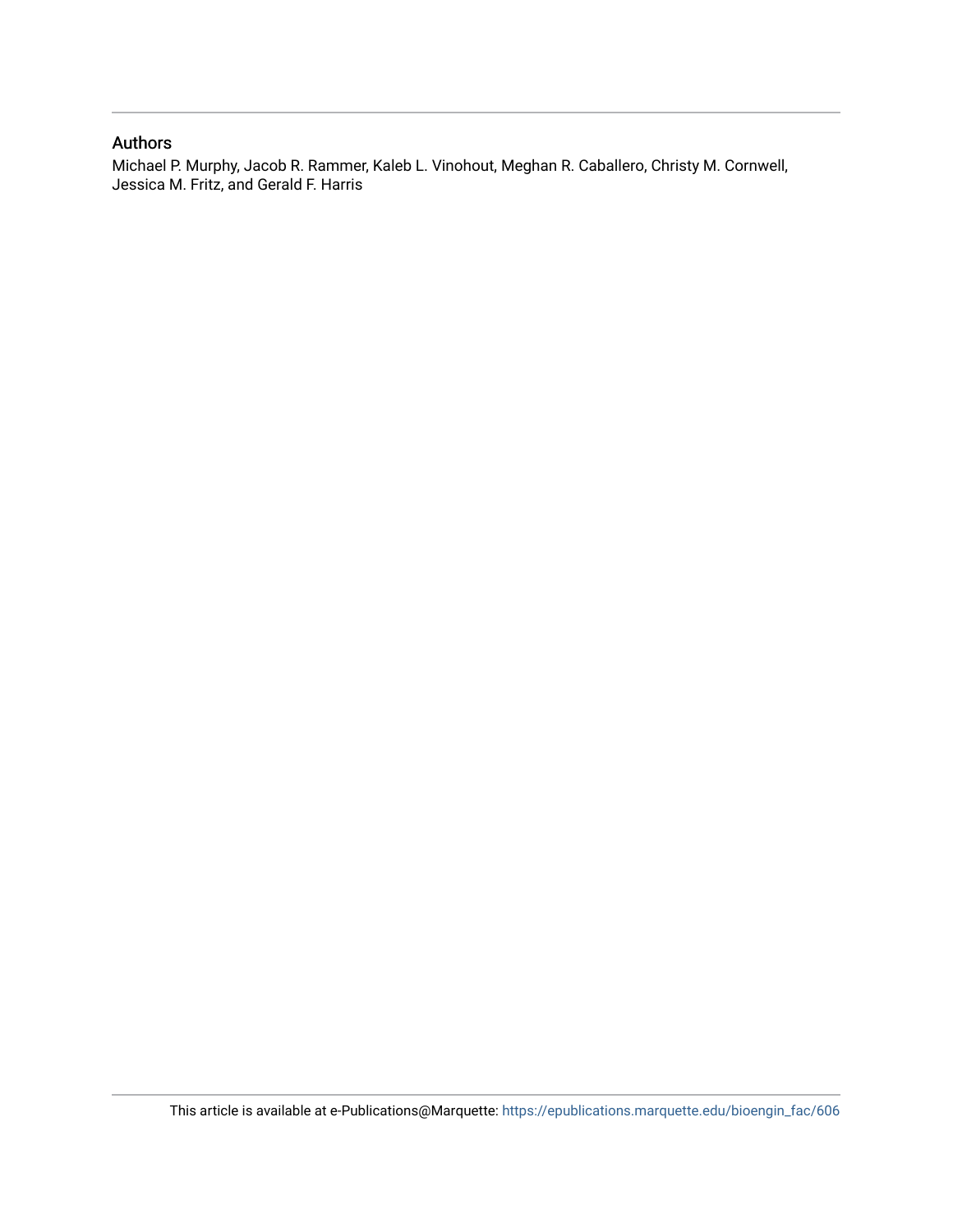#### Authors

Michael P. Murphy, Jacob R. Rammer, Kaleb L. Vinohout, Meghan R. Caballero, Christy M. Cornwell, Jessica M. Fritz, and Gerald F. Harris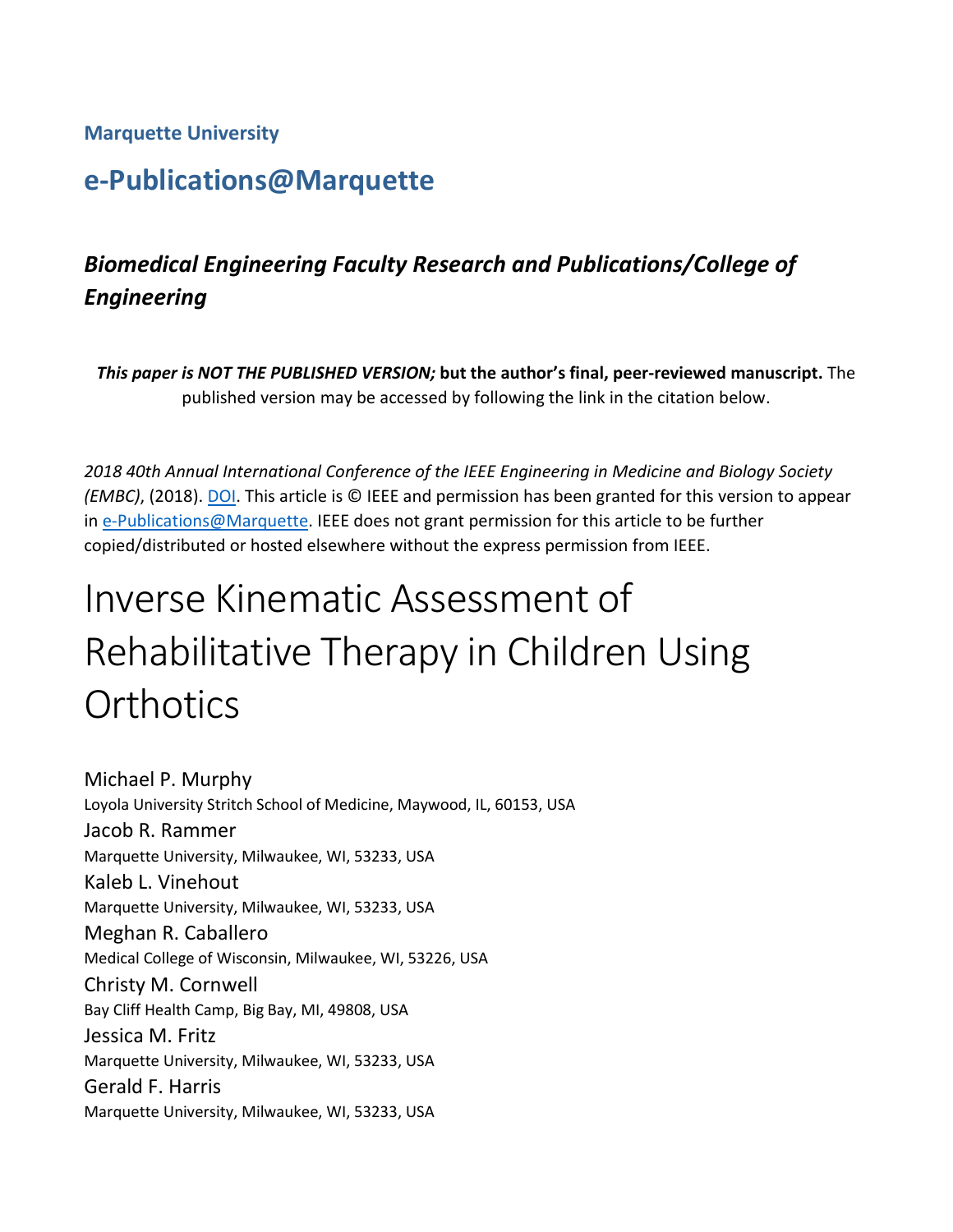#### **Marquette University**

# **e-Publications@Marquette**

# *Biomedical Engineering Faculty Research and Publications/College of Engineering*

*This paper is NOT THE PUBLISHED VERSION;* **but the author's final, peer-reviewed manuscript.** The published version may be accessed by following the link in the citation below.

*2018 40th Annual International Conference of the IEEE Engineering in Medicine and Biology Society (EMBC)*, (2018). [DOI.](https://ieeexplore.ieee.org/document/8512863/references#references) This article is © IEEE and permission has been granted for this version to appear in [e-Publications@Marquette.](http://epublications.marquette.edu/) IEEE does not grant permission for this article to be further copied/distributed or hosted elsewhere without the express permission from IEEE.

# Inverse Kinematic Assessment of Rehabilitative Therapy in Children Using **Orthotics**

Michael P. Murphy Loyola University Stritch School of Medicine, Maywood, IL, 60153, USA Jacob R. Rammer Marquette University, Milwaukee, WI, 53233, USA Kaleb L. Vinehout Marquette University, Milwaukee, WI, 53233, USA Meghan R. Caballero Medical College of Wisconsin, Milwaukee, WI, 53226, USA Christy M. Cornwell Bay Cliff Health Camp, Big Bay, MI, 49808, USA Jessica M. Fritz Marquette University, Milwaukee, WI, 53233, USA Gerald F. Harris Marquette University, Milwaukee, WI, 53233, USA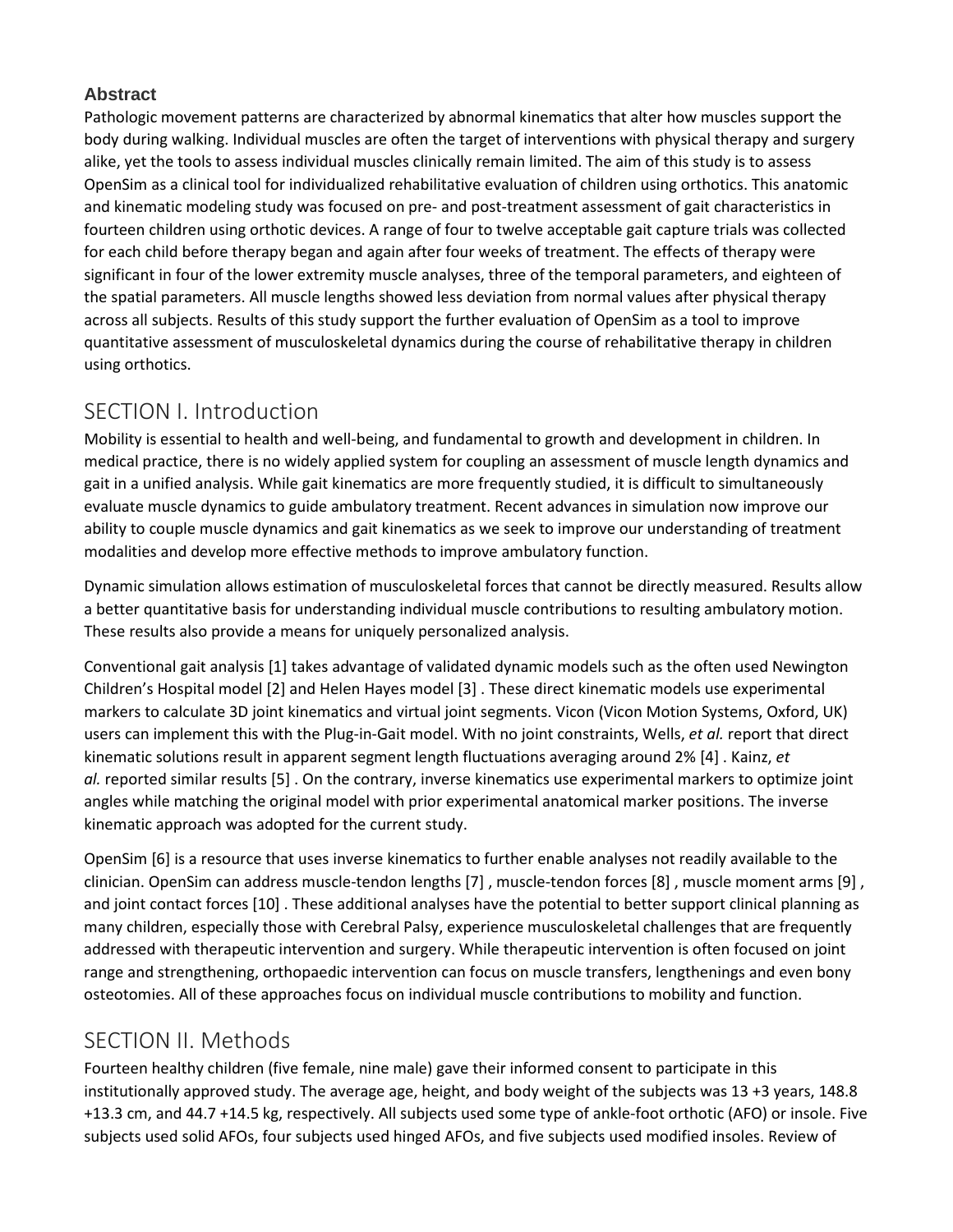#### **Abstract**

Pathologic movement patterns are characterized by abnormal kinematics that alter how muscles support the body during walking. Individual muscles are often the target of interventions with physical therapy and surgery alike, yet the tools to assess individual muscles clinically remain limited. The aim of this study is to assess OpenSim as a clinical tool for individualized rehabilitative evaluation of children using orthotics. This anatomic and kinematic modeling study was focused on pre- and post-treatment assessment of gait characteristics in fourteen children using orthotic devices. A range of four to twelve acceptable gait capture trials was collected for each child before therapy began and again after four weeks of treatment. The effects of therapy were significant in four of the lower extremity muscle analyses, three of the temporal parameters, and eighteen of the spatial parameters. All muscle lengths showed less deviation from normal values after physical therapy across all subjects. Results of this study support the further evaluation of OpenSim as a tool to improve quantitative assessment of musculoskeletal dynamics during the course of rehabilitative therapy in children using orthotics.

## SECTION I. Introduction

Mobility is essential to health and well-being, and fundamental to growth and development in children. In medical practice, there is no widely applied system for coupling an assessment of muscle length dynamics and gait in a unified analysis. While gait kinematics are more frequently studied, it is difficult to simultaneously evaluate muscle dynamics to guide ambulatory treatment. Recent advances in simulation now improve our ability to couple muscle dynamics and gait kinematics as we seek to improve our understanding of treatment modalities and develop more effective methods to improve ambulatory function.

Dynamic simulation allows estimation of musculoskeletal forces that cannot be directly measured. Results allow a better quantitative basis for understanding individual muscle contributions to resulting ambulatory motion. These results also provide a means for uniquely personalized analysis.

Conventional gait analysis [1] takes advantage of validated dynamic models such as the often used Newington Children's Hospital model [2] and Helen Hayes model [3] . These direct kinematic models use experimental markers to calculate 3D joint kinematics and virtual joint segments. Vicon (Vicon Motion Systems, Oxford, UK) users can implement this with the Plug-in-Gait model. With no joint constraints, Wells, *et al.* report that direct kinematic solutions result in apparent segment length fluctuations averaging around 2% [4] . Kainz, *et al.* reported similar results [5] . On the contrary, inverse kinematics use experimental markers to optimize joint angles while matching the original model with prior experimental anatomical marker positions. The inverse kinematic approach was adopted for the current study.

OpenSim [6] is a resource that uses inverse kinematics to further enable analyses not readily available to the clinician. OpenSim can address muscle-tendon lengths [7] , muscle-tendon forces [8] , muscle moment arms [9] , and joint contact forces [10] . These additional analyses have the potential to better support clinical planning as many children, especially those with Cerebral Palsy, experience musculoskeletal challenges that are frequently addressed with therapeutic intervention and surgery. While therapeutic intervention is often focused on joint range and strengthening, orthopaedic intervention can focus on muscle transfers, lengthenings and even bony osteotomies. All of these approaches focus on individual muscle contributions to mobility and function.

# SECTION II. Methods

Fourteen healthy children (five female, nine male) gave their informed consent to participate in this institutionally approved study. The average age, height, and body weight of the subjects was 13 +3 years, 148.8 +13.3 cm, and 44.7 +14.5 kg, respectively. All subjects used some type of ankle-foot orthotic (AFO) or insole. Five subjects used solid AFOs, four subjects used hinged AFOs, and five subjects used modified insoles. Review of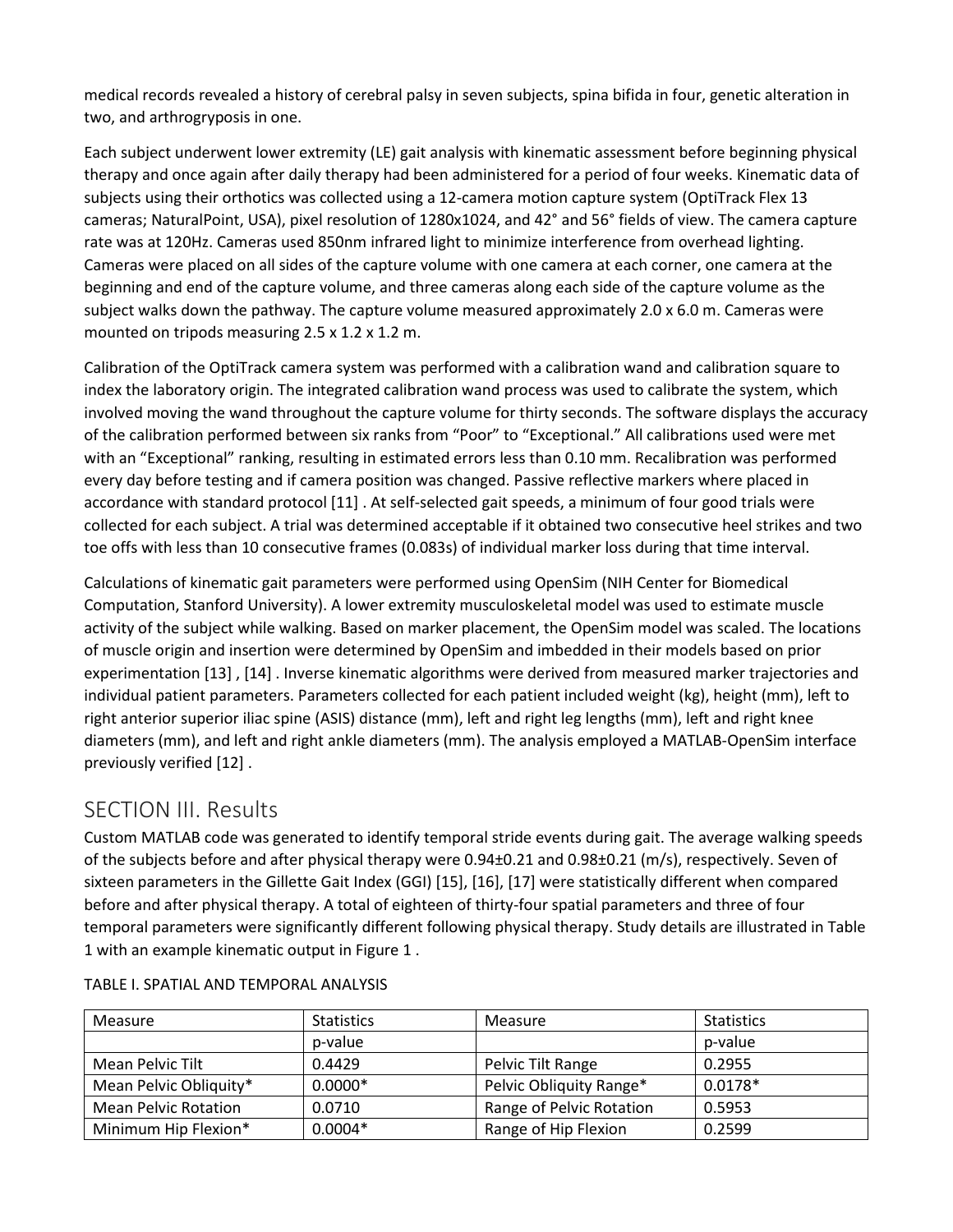medical records revealed a history of cerebral palsy in seven subjects, spina bifida in four, genetic alteration in two, and arthrogryposis in one.

Each subject underwent lower extremity (LE) gait analysis with kinematic assessment before beginning physical therapy and once again after daily therapy had been administered for a period of four weeks. Kinematic data of subjects using their orthotics was collected using a 12-camera motion capture system (OptiTrack Flex 13 cameras; NaturalPoint, USA), pixel resolution of 1280x1024, and 42° and 56° fields of view. The camera capture rate was at 120Hz. Cameras used 850nm infrared light to minimize interference from overhead lighting. Cameras were placed on all sides of the capture volume with one camera at each corner, one camera at the beginning and end of the capture volume, and three cameras along each side of the capture volume as the subject walks down the pathway. The capture volume measured approximately 2.0 x 6.0 m. Cameras were mounted on tripods measuring 2.5 x 1.2 x 1.2 m.

Calibration of the OptiTrack camera system was performed with a calibration wand and calibration square to index the laboratory origin. The integrated calibration wand process was used to calibrate the system, which involved moving the wand throughout the capture volume for thirty seconds. The software displays the accuracy of the calibration performed between six ranks from "Poor" to "Exceptional." All calibrations used were met with an "Exceptional" ranking, resulting in estimated errors less than 0.10 mm. Recalibration was performed every day before testing and if camera position was changed. Passive reflective markers where placed in accordance with standard protocol [11] . At self-selected gait speeds, a minimum of four good trials were collected for each subject. A trial was determined acceptable if it obtained two consecutive heel strikes and two toe offs with less than 10 consecutive frames (0.083s) of individual marker loss during that time interval.

Calculations of kinematic gait parameters were performed using OpenSim (NIH Center for Biomedical Computation, Stanford University). A lower extremity musculoskeletal model was used to estimate muscle activity of the subject while walking. Based on marker placement, the OpenSim model was scaled. The locations of muscle origin and insertion were determined by OpenSim and imbedded in their models based on prior experimentation [13] , [14] . Inverse kinematic algorithms were derived from measured marker trajectories and individual patient parameters. Parameters collected for each patient included weight (kg), height (mm), left to right anterior superior iliac spine (ASIS) distance (mm), left and right leg lengths (mm), left and right knee diameters (mm), and left and right ankle diameters (mm). The analysis employed a MATLAB-OpenSim interface previously verified [12] .

## SECTION III. Results

Custom MATLAB code was generated to identify temporal stride events during gait. The average walking speeds of the subjects before and after physical therapy were 0.94±0.21 and 0.98±0.21 (m/s), respectively. Seven of sixteen parameters in the Gillette Gait Index (GGI) [15], [16], [17] were statistically different when compared before and after physical therapy. A total of eighteen of thirty-four spatial parameters and three of four temporal parameters were significantly different following physical therapy. Study details are illustrated in Table 1 with an example kinematic output in Figure 1 .

| Measure                | <b>Statistics</b> | Measure                  | <b>Statistics</b> |
|------------------------|-------------------|--------------------------|-------------------|
|                        | p-value           |                          | p-value           |
| Mean Pelvic Tilt       | 0.4429            | Pelvic Tilt Range        | 0.2955            |
| Mean Pelvic Obliquity* | $0.0000*$         | Pelvic Obliquity Range*  | $0.0178*$         |
| Mean Pelvic Rotation   | 0.0710            | Range of Pelvic Rotation | 0.5953            |
| Minimum Hip Flexion*   | $0.0004*$         | Range of Hip Flexion     | 0.2599            |

TABLE I. SPATIAL AND TEMPORAL ANALYSIS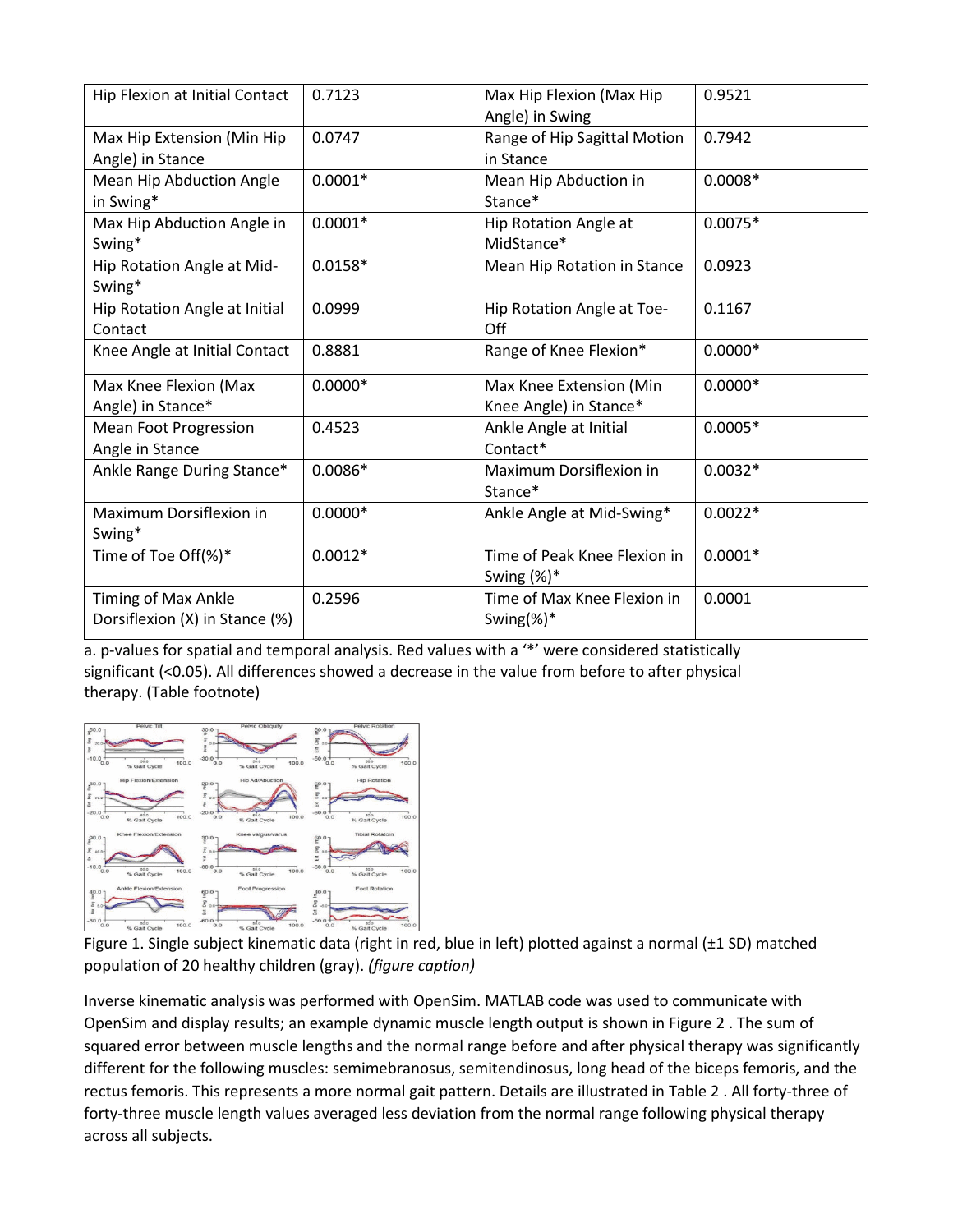| Hip Flexion at Initial Contact                        | 0.7123    | Max Hip Flexion (Max Hip<br>Angle) in Swing       | 0.9521    |
|-------------------------------------------------------|-----------|---------------------------------------------------|-----------|
| Max Hip Extension (Min Hip<br>Angle) in Stance        | 0.0747    | Range of Hip Sagittal Motion<br>in Stance         | 0.7942    |
| Mean Hip Abduction Angle<br>in Swing*                 | $0.0001*$ | Mean Hip Abduction in<br>Stance*                  | $0.0008*$ |
| Max Hip Abduction Angle in<br>Swing*                  | $0.0001*$ | Hip Rotation Angle at<br>MidStance*               | $0.0075*$ |
| Hip Rotation Angle at Mid-<br>Swing*                  | $0.0158*$ | Mean Hip Rotation in Stance                       | 0.0923    |
| Hip Rotation Angle at Initial<br>Contact              | 0.0999    | Hip Rotation Angle at Toe-<br>Off                 | 0.1167    |
| Knee Angle at Initial Contact                         | 0.8881    | Range of Knee Flexion*                            | $0.0000*$ |
| Max Knee Flexion (Max<br>Angle) in Stance*            | $0.0000*$ | Max Knee Extension (Min<br>Knee Angle) in Stance* | $0.0000*$ |
| <b>Mean Foot Progression</b><br>Angle in Stance       | 0.4523    | Ankle Angle at Initial<br>Contact*                | $0.0005*$ |
| Ankle Range During Stance*                            | $0.0086*$ | Maximum Dorsiflexion in<br>Stance*                | $0.0032*$ |
| Maximum Dorsiflexion in<br>Swing*                     | $0.0000*$ | Ankle Angle at Mid-Swing*                         | $0.0022*$ |
| Time of Toe Off(%)*                                   | $0.0012*$ | Time of Peak Knee Flexion in<br>Swing $(\%)^*$    | $0.0001*$ |
| Timing of Max Ankle<br>Dorsiflexion (X) in Stance (%) | 0.2596    | Time of Max Knee Flexion in<br>Swing(%)*          | 0.0001    |

a. p-values for spatial and temporal analysis. Red values with a '\*' were considered statistically significant (<0.05). All differences showed a decrease in the value from before to after physical therapy. (Table footnote[\)](https://ieeexplore.ieee.org/mediastore_new/IEEE/content/media/8471725/8512178/8512863/murph.t1-14750506-large.gif)



Figure 1. Single subject kinematic data (right in red, blue in left) plotted against a normal (±1 SD) matched population of 20 healthy children (gray). *(figure caption)*

Inverse kinematic analysis was performed with OpenSim. MATLAB code was used to communicate with OpenSim and display results; an example dynamic muscle length output is shown in Figure 2 . The sum of squared error between muscle lengths and the normal range before and after physical therapy was significantly different for the following muscles: semimebranosus, semitendinosus, long head of the biceps femoris, and the rectus femoris. This represents a more normal gait pattern. Details are illustrated in Table 2 . All forty-three of forty-three muscle length values averaged less deviation from the normal range following physical therapy across all subjects.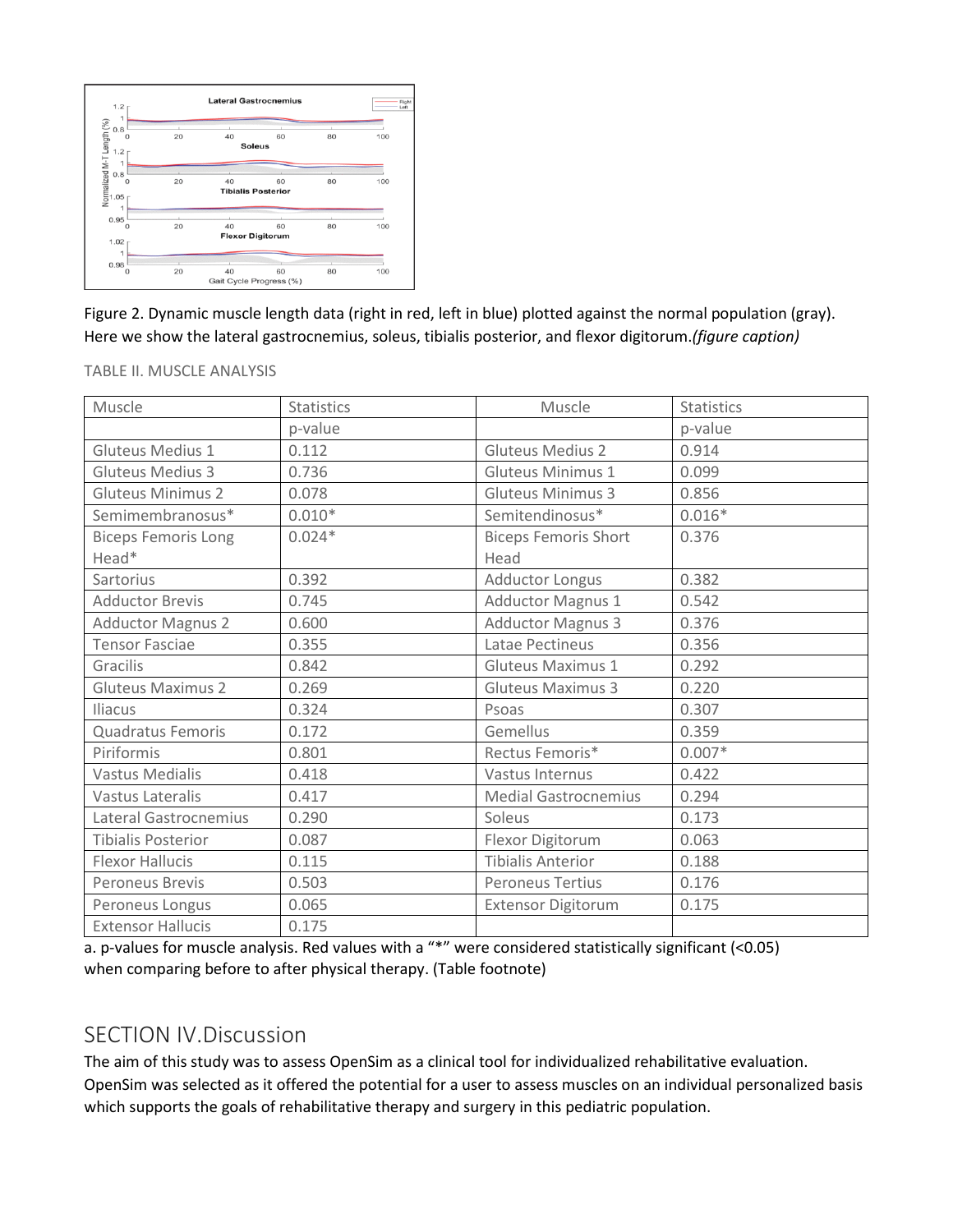

Figure 2. Dynamic muscle length data (right in red, left in blue) plotted against the normal population (gray). Here we show the lateral gastrocnemius, soleus, tibialis posterior, and flexor digitorum.*(figure caption)*

TABLE II. MUSCLE ANALYSIS

| Muscle                     | <b>Statistics</b> | Muscle                      | <b>Statistics</b> |
|----------------------------|-------------------|-----------------------------|-------------------|
|                            | p-value           |                             | p-value           |
| Gluteus Medius 1           | 0.112             | <b>Gluteus Medius 2</b>     | 0.914             |
| Gluteus Medius 3           | 0.736             | <b>Gluteus Minimus 1</b>    | 0.099             |
| <b>Gluteus Minimus 2</b>   | 0.078             | <b>Gluteus Minimus 3</b>    | 0.856             |
| Semimembranosus*           | $0.010*$          | Semitendinosus*             | $0.016*$          |
| <b>Biceps Femoris Long</b> | $0.024*$          | <b>Biceps Femoris Short</b> | 0.376             |
| Head*                      |                   | Head                        |                   |
| Sartorius                  | 0.392             | Adductor Longus             | 0.382             |
| <b>Adductor Brevis</b>     | 0.745             | <b>Adductor Magnus 1</b>    | 0.542             |
| <b>Adductor Magnus 2</b>   | 0.600             | <b>Adductor Magnus 3</b>    | 0.376             |
| <b>Tensor Fasciae</b>      | 0.355             | Latae Pectineus             | 0.356             |
| Gracilis                   | 0.842             | <b>Gluteus Maximus 1</b>    | 0.292             |
| <b>Gluteus Maximus 2</b>   | 0.269             | <b>Gluteus Maximus 3</b>    | 0.220             |
| Iliacus                    | 0.324             | Psoas                       | 0.307             |
| Quadratus Femoris          | 0.172             | Gemellus                    | 0.359             |
| Piriformis                 | 0.801             | Rectus Femoris*             | $0.007*$          |
| <b>Vastus Medialis</b>     | 0.418             | Vastus Internus             | 0.422             |
| Vastus Lateralis           | 0.417             | <b>Medial Gastrocnemius</b> | 0.294             |
| Lateral Gastrocnemius      | 0.290             | Soleus                      | 0.173             |
| <b>Tibialis Posterior</b>  | 0.087             | Flexor Digitorum            | 0.063             |
| <b>Flexor Hallucis</b>     | 0.115             | <b>Tibialis Anterior</b>    | 0.188             |
| <b>Peroneus Brevis</b>     | 0.503             | <b>Peroneus Tertius</b>     | 0.176             |
| Peroneus Longus            | 0.065             | <b>Extensor Digitorum</b>   | 0.175             |
| <b>Extensor Hallucis</b>   | 0.175             |                             |                   |

a. p-values for muscle analysis. Red values with a "\*" were considered statistically significant (<0.05) when comparing before to after physical therapy. (Table footnote[\)](https://ieeexplore.ieee.org/mediastore_new/IEEE/content/media/8471725/8512178/8512863/murph.t2-14750506-large.gif)

## SECTION IV.Discussion

The aim of this study was to assess OpenSim as a clinical tool for individualized rehabilitative evaluation. OpenSim was selected as it offered the potential for a user to assess muscles on an individual personalized basis which supports the goals of rehabilitative therapy and surgery in this pediatric population.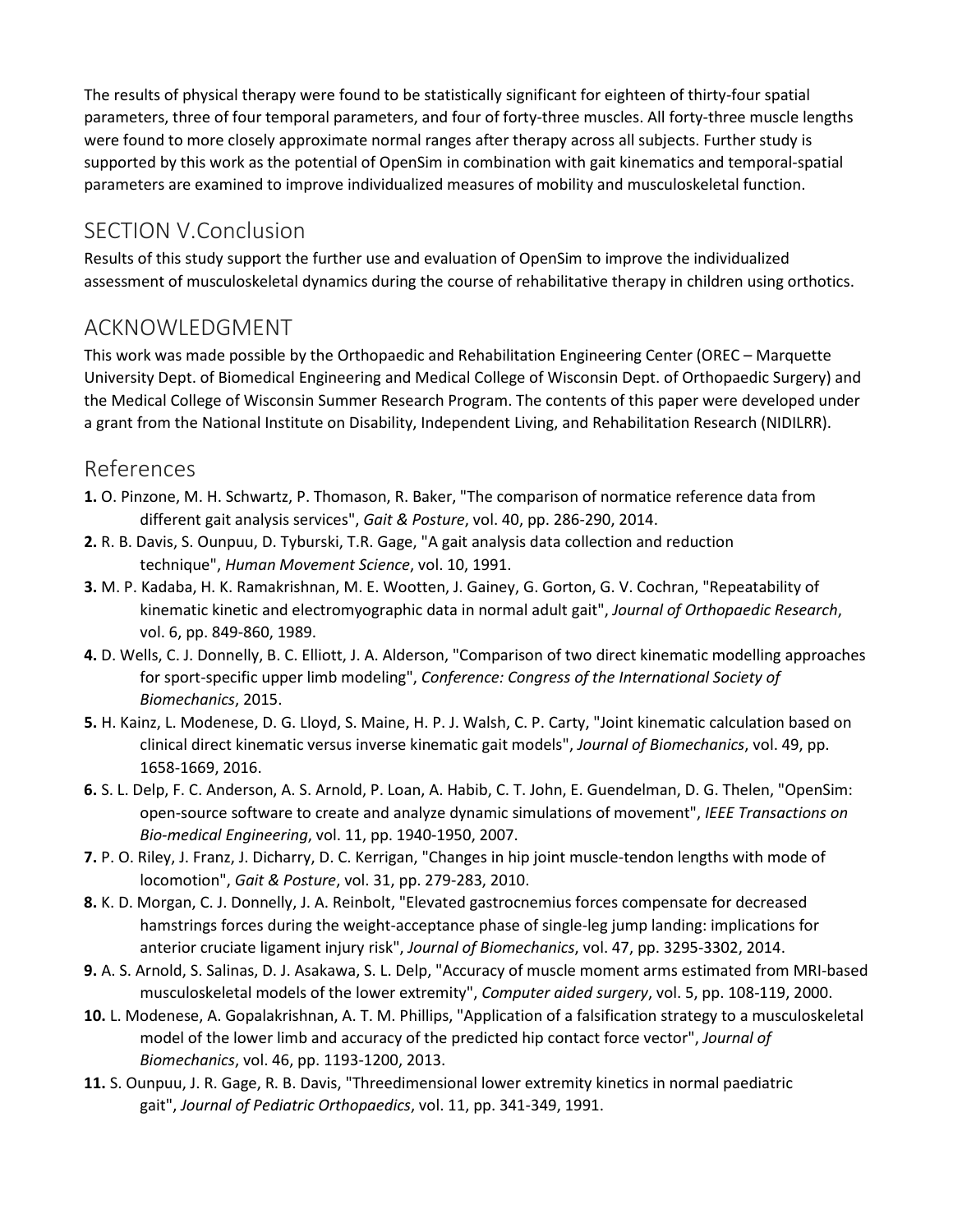The results of physical therapy were found to be statistically significant for eighteen of thirty-four spatial parameters, three of four temporal parameters, and four of forty-three muscles. All forty-three muscle lengths were found to more closely approximate normal ranges after therapy across all subjects. Further study is supported by this work as the potential of OpenSim in combination with gait kinematics and temporal-spatial parameters are examined to improve individualized measures of mobility and musculoskeletal function.

# SECTION V.Conclusion

Results of this study support the further use and evaluation of OpenSim to improve the individualized assessment of musculoskeletal dynamics during the course of rehabilitative therapy in children using orthotics.

# ACKNOWLEDGMENT

This work was made possible by the Orthopaedic and Rehabilitation Engineering Center (OREC – Marquette University Dept. of Biomedical Engineering and Medical College of Wisconsin Dept. of Orthopaedic Surgery) and the Medical College of Wisconsin Summer Research Program. The contents of this paper were developed under a grant from the National Institute on Disability, Independent Living, and Rehabilitation Research (NIDILRR).

### References

- **1.** O. Pinzone, M. H. Schwartz, P. Thomason, R. Baker, "The comparison of normatice reference data from different gait analysis services", *Gait & Posture*, vol. 40, pp. 286-290, 2014.
- **2.** R. B. Davis, S. Ounpuu, D. Tyburski, T.R. Gage, "A gait analysis data collection and reduction technique", *Human Movement Science*, vol. 10, 1991.
- **3.** M. P. Kadaba, H. K. Ramakrishnan, M. E. Wootten, J. Gainey, G. Gorton, G. V. Cochran, "Repeatability of kinematic kinetic and electromyographic data in normal adult gait", *Journal of Orthopaedic Research*, vol. 6, pp. 849-860, 1989.
- **4.** D. Wells, C. J. Donnelly, B. C. Elliott, J. A. Alderson, "Comparison of two direct kinematic modelling approaches for sport-specific upper limb modeling", *Conference: Congress of the International Society of Biomechanics*, 2015.
- **5.** H. Kainz, L. Modenese, D. G. Lloyd, S. Maine, H. P. J. Walsh, C. P. Carty, "Joint kinematic calculation based on clinical direct kinematic versus inverse kinematic gait models", *Journal of Biomechanics*, vol. 49, pp. 1658-1669, 2016.
- **6.** S. L. Delp, F. C. Anderson, A. S. Arnold, P. Loan, A. Habib, C. T. John, E. Guendelman, D. G. Thelen, "OpenSim: open-source software to create and analyze dynamic simulations of movement", *IEEE Transactions on Bio-medical Engineering*, vol. 11, pp. 1940-1950, 2007.
- **7.** P. O. Riley, J. Franz, J. Dicharry, D. C. Kerrigan, "Changes in hip joint muscle-tendon lengths with mode of locomotion", *Gait & Posture*, vol. 31, pp. 279-283, 2010.
- **8.** K. D. Morgan, C. J. Donnelly, J. A. Reinbolt, "Elevated gastrocnemius forces compensate for decreased hamstrings forces during the weight-acceptance phase of single-leg jump landing: implications for anterior cruciate ligament injury risk", *Journal of Biomechanics*, vol. 47, pp. 3295-3302, 2014.
- **9.** A. S. Arnold, S. Salinas, D. J. Asakawa, S. L. Delp, "Accuracy of muscle moment arms estimated from MRI-based musculoskeletal models of the lower extremity", *Computer aided surgery*, vol. 5, pp. 108-119, 2000.
- **10.** L. Modenese, A. Gopalakrishnan, A. T. M. Phillips, "Application of a falsification strategy to a musculoskeletal model of the lower limb and accuracy of the predicted hip contact force vector", *Journal of Biomechanics*, vol. 46, pp. 1193-1200, 2013.
- **11.** S. Ounpuu, J. R. Gage, R. B. Davis, "Threedimensional lower extremity kinetics in normal paediatric gait", *Journal of Pediatric Orthopaedics*, vol. 11, pp. 341-349, 1991.